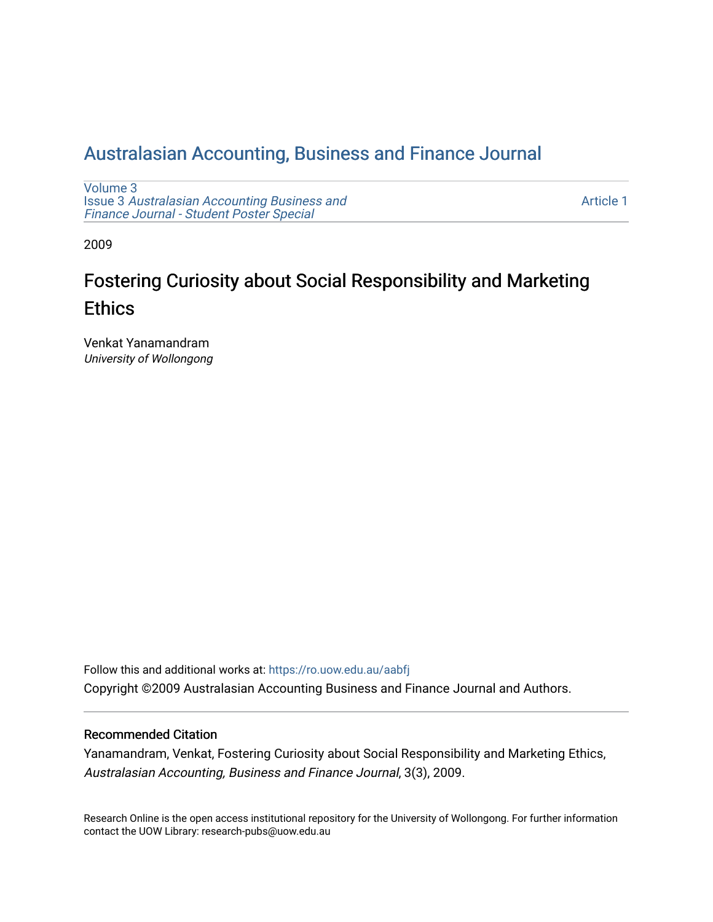# [Australasian Accounting, Business and Finance Journal](https://ro.uow.edu.au/aabfj)

[Volume 3](https://ro.uow.edu.au/aabfj/vol3) Issue 3 [Australasian Accounting Business and](https://ro.uow.edu.au/aabfj/vol3/iss3) [Finance Journal - Student Poster Special](https://ro.uow.edu.au/aabfj/vol3/iss3)

[Article 1](https://ro.uow.edu.au/aabfj/vol3/iss3/1) 

2009

# Fostering Curiosity about Social Responsibility and Marketing **Ethics**

Venkat Yanamandram University of Wollongong

Follow this and additional works at: [https://ro.uow.edu.au/aabfj](https://ro.uow.edu.au/aabfj?utm_source=ro.uow.edu.au%2Faabfj%2Fvol3%2Fiss3%2F1&utm_medium=PDF&utm_campaign=PDFCoverPages) Copyright ©2009 Australasian Accounting Business and Finance Journal and Authors.

#### Recommended Citation

Yanamandram, Venkat, Fostering Curiosity about Social Responsibility and Marketing Ethics, Australasian Accounting, Business and Finance Journal, 3(3), 2009.

Research Online is the open access institutional repository for the University of Wollongong. For further information contact the UOW Library: research-pubs@uow.edu.au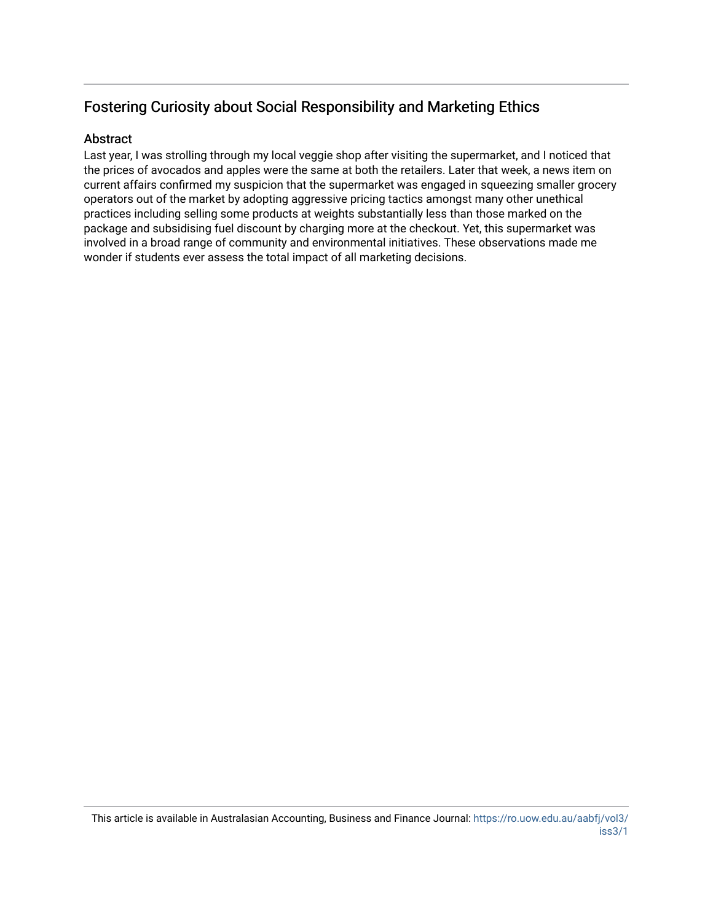## Fostering Curiosity about Social Responsibility and Marketing Ethics

#### Abstract

Last year, I was strolling through my local veggie shop after visiting the supermarket, and I noticed that the prices of avocados and apples were the same at both the retailers. Later that week, a news item on current affairs confirmed my suspicion that the supermarket was engaged in squeezing smaller grocery operators out of the market by adopting aggressive pricing tactics amongst many other unethical practices including selling some products at weights substantially less than those marked on the package and subsidising fuel discount by charging more at the checkout. Yet, this supermarket was involved in a broad range of community and environmental initiatives. These observations made me wonder if students ever assess the total impact of all marketing decisions.